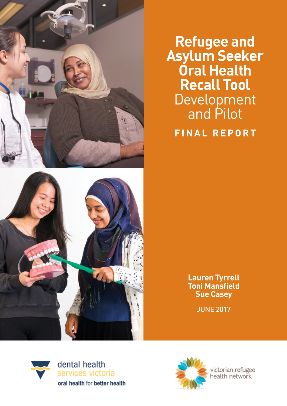

**Refugee and Asylum Seeker Oral Health Recall Tool**  Development and Pilot **FINAL REPORT**



**Lauren Tyrrell Toni Mansfield Sue Casey**

JUNE 2017





victorian refugee<br>health network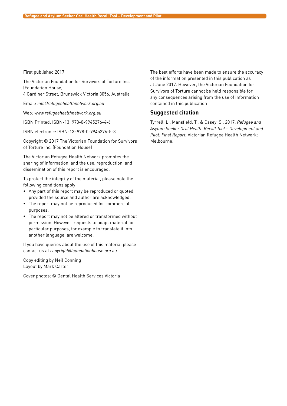#### First published 2017

The Victorian Foundation for Survivors of Torture Inc. (Foundation House)

4 Gardiner Street, Brunswick Victoria 3056, Australia

Email: *[info@refugeehealthnetwork.org.au](mailto:info@refugeehealthnetwork.org.au)*

Web: *[www.refugeehealthnetwork.org.au](http://www.refugeehealthnetwork.org.au)*

ISBN Printed: ISBN-13: 978-0-9945276-4-6

ISBN electronic: ISBN-13: 978-0-9945276-5-3

Copyright © 2017 The Victorian Foundation for Survivors of Torture Inc. (Foundation House)

The Victorian Refugee Health Network promotes the sharing of information, and the use, reproduction, and dissemination of this report is encouraged.

To protect the integrity of the material, please note the following conditions apply:

- Any part of this report may be reproduced or quoted, provided the source and author are acknowledged.
- The report may not be reproduced for commercial purposes.
- The report may not be altered or transformed without permission. However, requests to adapt material for particular purposes, for example to translate it into another language, are welcome.

If you have queries about the use of this material please contact us at *[copyright@foundationhouse.org.au](mailto:copyright@foundationhouse.org.au)*

Copy editing by Neil Conning Layout by Mark Carter

Cover photos: © Dental Health Services Victoria

The best efforts have been made to ensure the accuracy of the information presented in this publication as at June 2017. However, the Victorian Foundation for Survivors of Torture cannot be held responsible for any consequences arising from the use of information contained in this publication

#### **Suggested citation**

Tyrrell, L., Mansfield, T., & Casey, S., 2017, *Refugee and Asylum Seeker Oral Health Recall Tool – Development and Pilot: Final Report*, Victorian Refugee Health Network: Melbourne.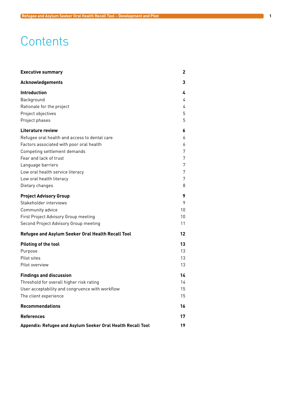# **Contents**

| <b>Executive summary</b>                                                                                                                                                                                                                                                                | 2                                         |  |
|-----------------------------------------------------------------------------------------------------------------------------------------------------------------------------------------------------------------------------------------------------------------------------------------|-------------------------------------------|--|
| Acknowledgements                                                                                                                                                                                                                                                                        | 3                                         |  |
| <b>Introduction</b><br>Background<br>Rationale for the project<br>Project objectives<br>Project phases                                                                                                                                                                                  | 4<br>4<br>4<br>5<br>5                     |  |
| <b>Literature review</b><br>Refugee oral health and access to dental care<br>Factors associated with poor oral health<br>Competing settlement demands<br>Fear and lack of trust<br>Language barriers<br>Low oral health service literacy<br>Low oral health literacy<br>Dietary changes | 6<br>6<br>6<br>7<br>7<br>7<br>7<br>7<br>8 |  |
| <b>Project Advisory Group</b><br>Stakeholder interviews<br>Community advice<br>First Project Advisory Group meeting<br>Second Project Advisory Group meeting                                                                                                                            | 9<br>9<br>10<br>10<br>11                  |  |
| Refugee and Asylum Seeker Oral Health Recall Tool                                                                                                                                                                                                                                       | 12                                        |  |
| Piloting of the tool<br>Purpose<br>Pilot sites<br>Pilot overview                                                                                                                                                                                                                        | 13<br>13<br>13.<br>13                     |  |
| <b>Findings and discussion</b><br>Threshold for overall higher risk rating<br>User acceptability and congruence with workflow<br>The client experience                                                                                                                                  | 14<br>14<br>15<br>15                      |  |
| <b>Recommendations</b>                                                                                                                                                                                                                                                                  | 16                                        |  |
| <b>References</b>                                                                                                                                                                                                                                                                       | 17                                        |  |
| Appendix: Refugee and Asylum Seeker Oral Health Recall Tool                                                                                                                                                                                                                             |                                           |  |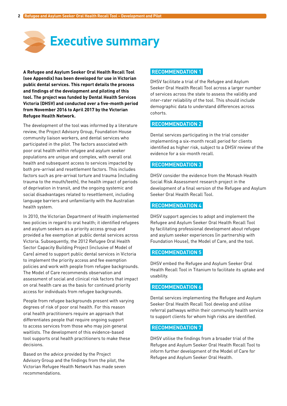<span id="page-3-0"></span>

**A Refugee and Asylum Seeker Oral Health Recall Tool (see Appendix) has been developed for use in Victorian public dental services. This report details the process and findings of the development and piloting of this tool. The project was funded by Dental Health Services Victoria (DHSV) and conducted over a five-month period from November 2016 to April 2017 by the Victorian Refugee Health Network.** 

The development of the tool was informed by a literature review, the Project Advisory Group, Foundation House community liaison workers, and dental services who participated in the pilot. The factors associated with poor oral health within refugee and asylum seeker populations are unique and complex, with overall oral health and subsequent access to services impacted by both pre-arrival and resettlement factors. This includes factors such as pre-arrival torture and trauma (including trauma to the mouth/teeth), the health impact of periods of deprivation in transit, and the ongoing systemic and social disadvantages related to resettlement, including language barriers and unfamiliarity with the Australian health system.

In 2010, the Victorian Department of Health implemented two policies in regard to oral health; it identified refugees and asylum seekers as a priority access group and provided a fee exemption at public dental services across Victoria. Subsequently, the 2012 Refugee Oral Health Sector Capacity Building Project (inclusive of Model of Care) aimed to support public dental services in Victoria to implement the priority access and fee exemption policies and work with people from refugee backgrounds. The Model of Care recommends observation and assessment of social and clinical risk factors that impact on oral health care as the basis for continued priority access for individuals from refugee backgrounds.

People from refugee backgrounds present with varying degrees of risk of poor oral health. For this reason oral health practitioners require an approach that differentiates people that require ongoing support to access services from those who may join general waitlists. The development of this evidence-based tool supports oral health practitioners to make these decisions.

Based on the advice provided by the Project Advisory Group and the findings from the pilot, the Victorian Refugee Health Network has made seven recommendations.

#### **RECOMMENDATION 1**

DHSV facilitate a trial of the Refugee and Asylum Seeker Oral Health Recall Tool across a larger number of services across the state to assess the validity and inter-rater reliability of the tool. This should include demographic data to understand differences across cohorts.

#### **RECOMMENDATION 2**

Dental services participating in the trial consider implementing a six-month recall period for clients identified as higher risk, subject to a DHSV review of the evidence for a six-month recall.

#### **RECOMMENDATION 3**

DHSV consider the evidence from the Monash Health Social Risk Assessment research project in the development of a final version of the Refugee and Asylum Seeker Oral Health Recall Tool.

#### **RECOMMENDATION 4**

DHSV support agencies to adopt and implement the Refugee and Asylum Seeker Oral Health Recall Tool by facilitating professional development about refugee and asylum seeker experiences (in partnership with Foundation House), the Model of Care, and the tool.

#### **RECOMMENDATION 5**

DHSV embed the Refugee and Asylum Seeker Oral Health Recall Tool in Titanium to facilitate its uptake and usability.

#### **RECOMMENDATION 6**

Dental services implementing the Refugee and Asylum Seeker Oral Health Recall Tool develop and utilise referral pathways within their community health service to support clients for whom high risks are identified.

#### **RECOMMENDATION 7**

DHSV utilise the findings from a broader trial of the Refugee and Asylum Seeker Oral Health Recall Tool to inform further development of the Model of Care for Refugee and Asylum Seeker Oral Health.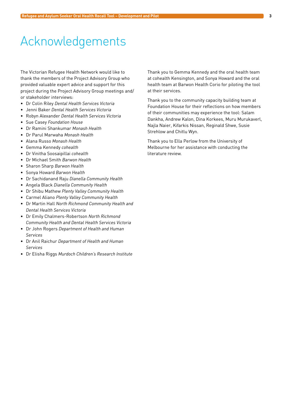# <span id="page-4-0"></span>Acknowledgements

The Victorian Refugee Health Network would like to thank the members of the Project Advisory Group who provided valuable expert advice and support for this project during the Project Advisory Group meetings and/ or stakeholder interviews:

- • Dr Colin Riley *Dental Health Services Victoria*
- • Jenni Baker *Dental Health Services Victoria*
- • Robyn Alexander *Dental Health Services Victoria*
- • Sue Casey *Foundation House*
- • Dr Ramini Shankumar *Monash Health*
- • Dr Parul Marwaha *Monash Health*
- • Alana Russo *Monash Health*
- • Gemma Kennedy *cohealth*
- • Dr Vinitha Soosaipillai *cohealth*
- • Dr Michael Smith *Barwon Health*
- • Sharon Sharp *Barwon Health*
- • Sonya Howard *Barwon Health*
- • Dr Sachidanand Raju *Dianella Community Health*
- • Angela Black *Dianella Community Health*
- • Dr Shibu Mathew *Plenty Valley Community Health*
- • Carmel Aliano *Plenty Valley Community Health*
- • Dr Martin Hall *North Richmond Community Health and Dental Health Services Victoria*
- • Dr Emily Chalmers-Robertson *North Richmond Community Health and Dental Health Services Victoria*
- • Dr John Rogers *Department of Health and Human Services*
- • Dr Anil Raichur *Department of Health and Human Services*
- • Dr Elisha Riggs *Murdoch Children's Research Institute*

Thank you to Gemma Kennedy and the oral health team at cohealth Kensington, and Sonya Howard and the oral health team at Barwon Health Corio for piloting the tool at their services.

Thank you to the community capacity building team at Foundation House for their reflections on how members of their communities may experience the tool: Salam Dankha, Andrew Kalon, Dina Korkees, Muru Murukaverl, Najla Naier, Kifarkis Nissan, Reginald Shwe, Susie Strehlow and Chitlu Wyn.

Thank you to Ella Perlow from the University of Melbourne for her assistance with conducting the literature review.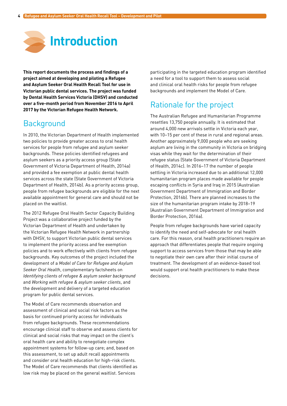<span id="page-5-0"></span>

**This report documents the process and findings of a project aimed at developing and piloting a Refugee and Asylum Seeker Oral Health Recall Tool for use in Victorian public dental services. The project was funded by Dental Health Services Victoria (DHSV) and conducted over a five-month period from November 2016 to April 2017 by the Victorian Refugee Health Network.** 

# **Background**

In 2010, the Victorian Department of Health implemented two policies to provide greater access to oral health services for people from refugee and asylum seeker backgrounds. These policies identified refugees and asylum seekers as a priority access group (State Government of Victoria Department of Health, 2014a) and provided a fee exemption at public dental health services across the state (State Government of Victoria Department of Health, 2014b). As a priority access group, people from refugee backgrounds are eligible for the next available appointment for general care and should not be placed on the waitlist.

The 2012 Refugee Oral Health Sector Capacity Building Project was a collaborative project funded by the Victorian Department of Health and undertaken by the Victorian Refugee Health Network in partnership with DHSV, to support Victorian public dental services to implement the priority access and fee exemption policies and to work effectively with clients from refugee backgrounds. Key outcomes of the project included the development of a *Model of Care for Refugee and Asylum Seeker Oral Health*, complementary factsheets on *Identifying clients of refugee & asylum seeker background* and *Working with refugee & asylum seeker clients*, and the development and delivery of a targeted education program for public dental services.

The Model of Care recommends observation and assessment of clinical and social risk factors as the basis for continued priority access for individuals from refugee backgrounds. These recommendations encourage clinical staff to observe and assess clients for clinical and social risks that may impact on the client's oral health care and ability to renegotiate complex appointment systems for follow-up care; and, based on this assessment, to set up adult recall appointments and consider oral health education for high-risk clients. The Model of Care recommends that clients identified as low risk may be placed on the general waitlist. Services

participating in the targeted education program identified a need for a tool to support them to assess social and clinical oral health risks for people from refugee backgrounds and implement the Model of Care.

# Rationale for the project

The Australian Refugee and Humanitarian Programme resettles 13,750 people annually. It is estimated that around 4,000 new arrivals settle in Victoria each year, with 10–15 per cent of these in rural and regional areas. Another approximately 9,000 people who are seeking asylum are living in the community in Victoria on bridging visas while they wait for the determination of their refugee status (State Government of Victoria Department of Health, 2014c). In 2016–17 the number of people settling in Victoria increased due to an additional 12,000 humanitarian program places made available for people escaping conflicts in Syria and Iraq in 2015 (Australian Government Department of Immigration and Border Protection, 2016b). There are planned increases to the size of the humanitarian program intake by 2018–19 (Australian Government Department of Immigration and Border Protection, 2016a).

People from refugee backgrounds have varied capacity to identify the need and self-advocate for oral health care. For this reason, oral health practitioners require an approach that differentiates people that require ongoing support to access services from those that may be able to negotiate their own care after their initial course of treatment. The development of an evidence-based tool would support oral health practitioners to make these decisions.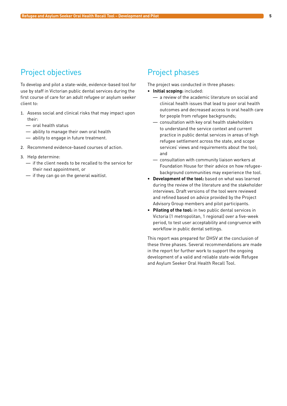# <span id="page-6-0"></span>Project objectives

To develop and pilot a state-wide, evidence-based tool for use by staff in Victorian public dental services during the first course of care for an adult refugee or asylum seeker client to:

- 1. Assess social and clinical risks that may impact upon their:
	- $-$  oral health status
	- $-$  ability to manage their own oral health
	- $-$  ability to engage in future treatment.
- 2. Recommend evidence-based courses of action.
- 3. Help determine:
	- — if the client needs to be recalled to the service for their next appointment, or
	- $-$  if they can go on the general waitlist.

## Project phases

The project was conducted in three phases:

- **• Initial scoping:** included:
	- — a review of the academic literature on social and clinical health issues that lead to poor oral health outcomes and decreased access to oral health care for people from refugee backgrounds:
	- $-$  consultation with key oral health stakeholders to understand the service context and current practice in public dental services in areas of high refugee settlement across the state, and scope services' views and requirements about the tool; and
	- $-$  consultation with community liaison workers at Foundation House for their advice on how refugeebackground communities may experience the tool.
- **• Development of the tool:** based on what was learned during the review of the literature and the stakeholder interviews. Draft versions of the tool were reviewed and refined based on advice provided by the Project Advisory Group members and pilot participants.
- **• Piloting of the tool:** in two public dental services in Victoria (1 metropolitan, 1 regional) over a five-week period, to test user acceptability and congruence with workflow in public dental settings.

This report was prepared for DHSV at the conclusion of these three phases. Several recommendations are made in the report for further work to support the ongoing development of a valid and reliable state-wide Refugee and Asylum Seeker Oral Health Recall Tool.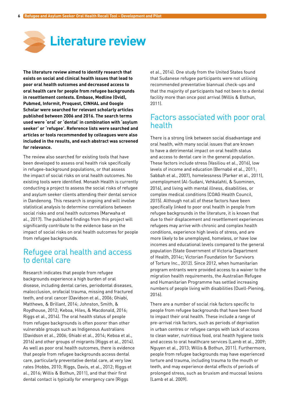<span id="page-7-0"></span>

**The literature review aimed to identify research that exists on social and clinical health issues that lead to poor oral health outcomes and decreased access to oral health care for people from refugee backgrounds in resettlement contexts. Embase, Medline (Ovid), Pubmed, Informit, Proquest, CINHAL and Google Scholar were searched for relevant scholarly articles published between 2006 and 2016. The search terms used were 'oral' or 'dental' in combination with 'asylum seeker' or 'refugee'. Reference lists were searched and articles or tools recommended by colleagues were also included in the results, and each abstract was screened for relevance.**

The review also searched for existing tools that have been developed to assess oral health risk specifically in refugee-background populations, or that assess the impact of social risks on oral health outcomes. No existing tools were identified. Monash Health is currently conducting a project to assess the social risks of refugee and asylum seeker clients attending their dental service in Dandenong. This research is ongoing and will involve statistical analysis to determine correlations between social risks and oral health outcomes (Marwaha et al., 2017). The published findings from this project will significantly contribute to the evidence base on the impact of social risks on oral health outcomes for people from refugee backgrounds.

# Refugee oral health and access to dental care

Research indicates that people from refugee backgrounds experience a high burden of oral disease, including dental caries, periodontal diseases, malocclusion, orofacial trauma, missing and fractured teeth, and oral cancer (Davidson et al., 2006; Ghiabi, Matthews, & Brillant, 2014; Johnston, Smith, & Roydhouse, 2012; Keboa, Hiles, & Macdonald, 2016; Riggs et al., 2014). The oral health status of people from refugee backgrounds is often poorer than other vulnerable groups such as Indigenous Australians (Davidson et al., 2006; Ghiabi et al., 2014; Keboa et al., 2016) and other groups of migrants (Riggs et al., 2014). As well as poor oral health outcomes, there is evidence that people from refugee backgrounds access dental care, particularly preventative dental care, at very low rates (Hobbs, 2010; Riggs, Davis, et al., 2012; Riggs et al., 2016; Willis & Bothun, 2011), and that their first dental contact is typically for emergency care (Riggs

et al., 2014). One study from the United States found that Sudanese refugee participants were not utilising recommended preventative biannual check-ups and that the majority of participants had not been to a dental facility more than once post arrival (Willis & Bothun, 2011).

#### Factors associated with poor oral health

There is a strong link between social disadvantage and oral health, with many social issues that are known to have a detrimental impact on oral health status and access to dental care in the general population. These factors include stress (Vasiliou et al., 2016), low levels of income and education (Bernabé et al., 2011; Sabbah et al., 2007), homelessness (Parker et al., 2011), unemployment (Al-Sudani, Vehkalahti, & Suominen, 2016), and living with mental illness, disabilities, or complex medical conditions (COAG Health Council, 2015). Although not all of these factors have been specifically linked to poor oral health in people from refugee backgrounds in the literature, it is known that due to their displacement and resettlement experiences refugees may arrive with chronic and complex health conditions, experience high levels of stress, and are more likely to be unemployed, homeless, or have low incomes and educational levels compared to the general population (State Government of Victoria Department of Health, 2014c; Victorian Foundation for Survivors of Torture Inc., 2012). Since 2012, when humanitarian program entrants were provided access to a waiver to the migration health requirements, the Australian Refugee and Humanitarian Programme has settled increasing numbers of people living with disabilities (Duell-Piening, 2016).

There are a number of social risk factors specific to people from refugee backgrounds that have been found to impact their oral health. These include a range of pre-arrival risk factors, such as periods of deprivation in urban centres or refugee camps with lack of access to clean water, nutritious food, oral health hygiene tools and access to oral healthcare services (Lamb et al., 2009; Nguyen et al., 2013; Willis & Bothun, 2011). Furthermore, people from refugee backgrounds may have experienced torture and trauma, including trauma to the mouth or teeth, and may experience dental effects of periods of prolonged stress, such as bruxism and mucosal lesions (Lamb et al. 2009).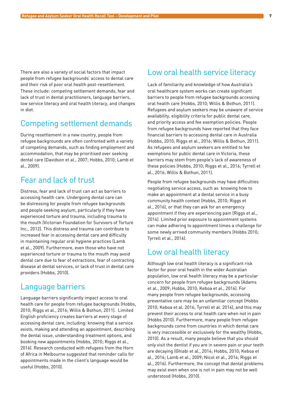<span id="page-8-0"></span>There are also a variety of social factors that impact people from refugee backgrounds' access to dental care and their risk of poor oral health post-resettlement. These include: competing settlement demands, fear and lack of trust in dental practitioners, language barriers, low service literacy and oral health literacy, and changes in diet.

# Competing settlement demands

During resettlement in a new country, people from refugee backgrounds are often confronted with a variety of competing demands, such as finding employment and accommodation, that may be prioritised over seeking dental care (Davidson et al., 2007; Hobbs, 2010; Lamb et al., 2009).

# Fear and lack of trust

Distress, fear and lack of trust can act as barriers to accessing health care. Undergoing dental care can be distressing for people from refugee backgrounds and people seeking asylum, particularly if they have experienced torture and trauma, including trauma to the mouth (Victorian Foundation for Survivors of Torture Inc., 2012). This distress and trauma can contribute to increased fear in accessing dental care and difficulty in maintaining regular oral hygiene practices (Lamb et al., 2009). Furthermore, even those who have not experienced torture or trauma to the mouth may avoid dental care due to fear of extractions, fear of contracting disease at dental services, or lack of trust in dental care providers (Hobbs, 2010).

## Language barriers

Language barriers significantly impact access to oral health care for people from refugee backgrounds (Hobbs, 2010; Riggs et al., 2016; Willis & Bothun, 2011). Limited English proficiency creates barriers at every stage of accessing dental care, including: knowing that a service exists, making and attending an appointment, describing the dental issue, understanding treatment options, and booking new appointments (Hobbs, 2010; Riggs et al., 2016). Research conducted with refugees from the Horn of Africa in Melbourne suggested that reminder calls for appointments made in the client's language would be useful (Hobbs, 2010).

## Low oral health service literacy

Lack of familiarity and knowledge of how Australia's oral healthcare system works can create significant barriers to people from refugee backgrounds accessing oral health care (Hobbs, 2010; Willis & Bothun, 2011). Refugees and asylum seekers may be unaware of service availability, eligibility criteria for public dental care, and priority access and fee exemption policies. People from refugee backgrounds have reported that they face financial barriers to accessing dental care in Australia (Hobbs, 2010; Riggs et al., 2016; Willis & Bothun, 2011). As refugees and asylum seekers are entitled to fee exemptions for public dental care in Victoria, these barriers may stem from people's lack of awareness of these policies (Hobbs, 2010; Riggs et al., 2016; Tyrrell et al., 2016; Willis & Bothun, 2011).

People from refugee backgrounds may have difficulties negotiating service access, such as knowing how to make an appointment at a dental service in a busy community health context (Hobbs, 2010; Riggs et al., 2016), or that they can ask for an emergency appointment if they are experiencing pain (Riggs et al., 2014). Limited prior exposure to appointment systems can make adhering to appointment times a challenge for some newly arrived community members (Hobbs 2010; Tyrrell et al., 2016).

# Low oral health literacy

Although low oral health literacy is a significant risk factor for poor oral health in the wider Australian population, low oral health literacy may be a particular concern for people from refugee backgrounds (Adams et al., 2009; Hobbs, 2010; Keboa et al., 2016). For many people from refugee backgrounds, accessing preventative care may be an unfamiliar concept (Hobbs 2010; Keboa et al. 2016; Tyrrell et al. 2016), and this may prevent their access to oral health care when not in pain (Hobbs 2010). Furthermore, many people from refugee backgrounds come from countries in which dental care is very inaccessible or exclusively for the wealthy (Hobbs, 2010). As a result, many people believe that you should only visit the dentist if you are in severe pain or your teeth are decaying (Ghiabi et al., 2014; Hobbs, 2010; Keboa et al., 2016; Lamb et al., 2009; Nicol et al., 2014; Riggs et al., 2016). Furthermore, the concept that dental problems may exist even when one is not in pain may not be well understood (Hobbs, 2010).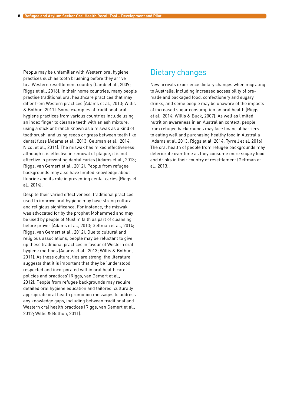<span id="page-9-0"></span>People may be unfamiliar with Western oral hygiene practices such as tooth brushing before they arrive to a Western resettlement country (Lamb et al., 2009; Riggs et al., 2016). In their home countries, many people practise traditional oral healthcare practices that may differ from Western practices (Adams et al., 2013; Willis & Bothun, 2011). Some examples of traditional oral hygiene practices from various countries include using an index finger to cleanse teeth with an ash mixture, using a stick or branch known as a miswak as a kind of toothbrush, and using reeds or grass between teeth like dental floss (Adams et al., 2013; Geltman et al., 2014; Nicol et al., 2014). The miswak has mixed effectiveness; although it is effective in removal of plaque, it is not effective in preventing dental caries (Adams et al., 2013; Riggs, van Gemert et al., 2012). People from refugee backgrounds may also have limited knowledge about fluoride and its role in preventing dental caries (Riggs et al., 2014).

Despite their varied effectiveness, traditional practices used to improve oral hygiene may have strong cultural and religious significance. For instance, the miswak was advocated for by the prophet Mohammed and may be used by people of Muslim faith as part of cleansing before prayer (Adams et al., 2013; Geltman et al., 2014; Riggs, van Gemert et al., 2012). Due to cultural and religious associations, people may be reluctant to give up these traditional practices in favour of Western oral hygiene methods (Adams et al., 2013; Willis & Bothun, 2011). As these cultural ties are strong, the literature suggests that it is important that they be 'understood, respected and incorporated within oral health care, policies and practices' (Riggs, van Gemert et al., 2012). People from refugee backgrounds may require detailed oral hygiene education and tailored, culturally appropriate oral health promotion messages to address any knowledge gaps, including between traditional and Western oral health practices (Riggs, van Gemert et al., 2012; Willis & Bothun, 2011).

## Dietary changes

New arrivals experience dietary changes when migrating to Australia, including increased accessibility of premade and packaged food, confectionery and sugary drinks, and some people may be unaware of the impacts of increased sugar consumption on oral health (Riggs et al., 2014; Willis & Buck, 2007). As well as limited nutrition awareness in an Australian context, people from refugee backgrounds may face financial barriers to eating well and purchasing healthy food in Australia (Adams et al. 2013; Riggs et al. 2014; Tyrrell et al. 2016). The oral health of people from refugee backgrounds may deteriorate over time as they consume more sugary food and drinks in their country of resettlement (Geltman et al., 2013).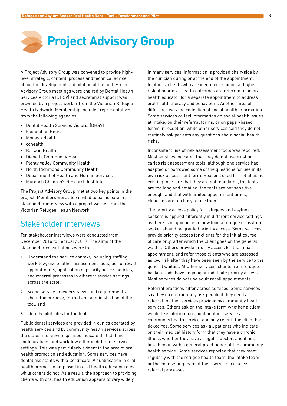# <span id="page-10-0"></span>**Project Advisory Group**

A Project Advisory Group was convened to provide highlevel strategic, content, process and technical advice about the development and piloting of the tool. Project Advisory Group meetings were chaired by Dental Health Services Victoria (DHSV) and secretariat support was provided by a project worker from the Victorian Refugee Health Network. Membership included representatives from the following agencies:

- • Dental Health Services Victoria (DHSV)
- • Foundation House
- • Monash Health
- • cohealth
- • Barwon Health
- • Dianella Community Health
- • Plenty Valley Community Health
- • North Richmond Community Health
- Department of Health and Human Services
- • Murdoch Children's Research Institute

The Project Advisory Group met at two key points in the project. Members were also invited to participate in a stakeholder interview with a project worker from the Victorian Refugee Health Network.

# Stakeholder interviews

Ten stakeholder interviews were conducted from December 2016 to February 2017. The aims of the stakeholder consultations were to:

- 1. Understand the service context, including staffing, workflow, use of other assessment tools, use of recall appointments, application of priority access policies, and referral processes in different service settings across the state;
- 2. Scope service providers' views and requirements about the purpose, format and administration of the tool; and
- 3. Identify pilot sites for the tool.

Public dental services are provided in clinics operated by health services and by community health services across the state. Interview responses indicate that staffing configurations and workflow differ in different service settings. This was particularly evident in the area of oral health promotion and education. Some services have dental assistants with a Certificate IV qualification in oral health promotion employed in oral health educator roles, while others do not. As a result, the approach to providing clients with oral health education appears to vary widely.

In many services, information is provided chair-side by the clinician during or at the end of the appointment. In others, clients who are identified as being at higher risk of poor oral health outcomes are referred to an oral health educator for a separate appointment to address oral health literacy and behaviours. Another area of difference was the collection of social health information. Some services collect information on social health issues at intake, on their referral forms, or on paper-based forms in reception, while other services said they do not routinely ask patients any questions about social health risks.

Inconsistent use of risk assessment tools was reported. Most services indicated that they do not use existing caries risk assessment tools, although one service had adapted or borrowed some of the questions for use in its own risk assessment form. Reasons cited for not utilising existing tools are that they are not mandated, the tools are too long and detailed, the tools are not sensitive enough, and that with limited appointment times, clinicians are too busy to use them.

The priority access policy for refugees and asylum seekers is applied differently in different service settings as there is no guidance on how long a refugee or asylum seeker should be granted priority access. Some services provide priority access for clients for the initial course of care only, after which the client goes on the general waitlist. Others provide priority access for the initial appointment, and refer those clients who are assessed as low risk after they have been seen by the service to the general waitlist. At other services, clients from refugee backgrounds have ongoing or indefinite priority access. Most services do not use adult recall appointments.

Referral practices differ across services. Some services say they do not routinely ask people if they need a referral to other services provided by community health services. Others ask on the intake form whether a client would like information about another service at the community health service, and only refer if the client has ticked Yes. Some services ask all patients who indicate on their medical history form that they have a chronic illness whether they have a regular doctor, and if not, link them in with a general practitioner at the community health service. Some services reported that they meet regularly with the refugee health team, the intake team or the counselling team at their service to discuss referral processes.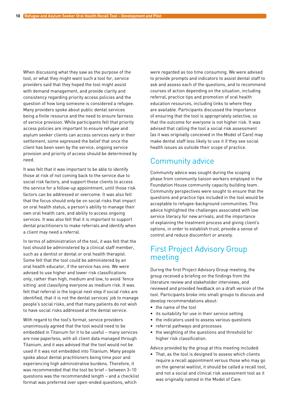<span id="page-11-0"></span>When discussing what they saw as the purpose of the tool, or what they might want such a tool for, service providers said that they hoped the tool might assist with demand management, and provide clarity and consistency regarding priority access policies and the question of how long someone is considered a refugee. Many providers spoke about public dental services being a finite resource and the need to ensure fairness of service provision. While participants felt that priority access policies are important to ensure refugee and asylum seeker clients can access services early in their settlement, some expressed the belief that once the client has been seen by the service, ongoing service provision and priority of access should be determined by need.

It was felt that it was important to be able to identify those at risk of not coming back to the service due to social risk factors, and support those clients to access the service for a follow-up appointment, until those risk factors can be addressed or overcome. It was also felt that the focus should only be on social risks that impact on oral health status, a person's ability to manage their own oral health care, and ability to access ongoing services. It was also felt that it is important to support dental practitioners to make referrals and identify when a client may need a referral.

In terms of administration of the tool, it was felt that the tool should be administered by a clinical staff member, such as a dentist or dental or oral health therapist. Some felt that the tool could be administered by an oral health educator, if the service has one. We were advised to use higher and lower risk classifications only, rather than high, medium and low, to avoid 'fence sitting' and classifying everyone as medium risk. It was felt that referral is the logical next step if social risks are identified, that it is not the dental services' job to manage people's social risks, and that many patients do not wish to have social risks addressed at the dental service.

With regard to the tool's format, service providers unanimously agreed that the tool would need to be embedded in Titanium for it to be useful – many services are now paperless, with all client data managed through Titanium, and it was advised that the tool would not be used if it was not embedded into Titanium. Many people spoke about dental practitioners being time poor and experiencing high administrative burdens. Therefore, it was recommended that the tool be brief – between 3–10 questions was the recommended length – and a checklist format was preferred over open-ended questions, which

were regarded as too time consuming. We were advised to provide prompts and indicators to assist dental staff to ask and assess each of the questions, and to recommend courses of action depending on the situation, including referral, practice tips and promotion of oral health education resources, including links to where they are available. Participants discussed the importance of ensuring that the tool is appropriately selective, so that the outcome for everyone is not higher risk. It was advised that calling the tool a social risk assessment (as it was originally conceived in the Model of Care) may make dental staff less likely to use it if they see social health issues as outside their scope of practice.

# Community advice

Community advice was sought during the scoping phase from community liaison workers employed in the Foundation House community capacity building team. Community perspectives were sought to ensure that the questions and practice tips included in the tool would be acceptable to refugee-background communities. This advice highlighted the challenges associated with low service literacy for new arrivals, and the importance of explaining the treatment process and giving client's options, in order to establish trust, provide a sense of control and reduce discomfort or anxiety.

# First Project Advisory Group meeting

During the first Project Advisory Group meeting, the group received a briefing on the findings from the literature review and stakeholder interviews, and reviewed and provided feedback on a draft version of the tool. Participants broke into small groups to discuss and develop recommendations about:

- • the name of the tool
- its suitability for use in their service setting
- the indicators used to assess various questions
- • referral pathways and processes
- the weighting of the questions and threshold for higher risk classification.

Advice provided by the group at this meeting included:

• That, as the tool is designed to assess which clients require a recall appointment versus those who may go on the general waitlist, it should be called a recall tool, and not a social and clinical risk assessment tool as it was originally named in the Model of Care.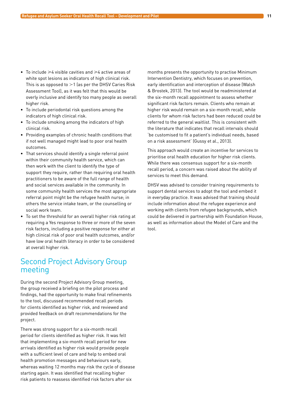- <span id="page-12-0"></span>• To include  $\geq 4$  visible cavities and  $\geq 4$  active areas of white spot lesions as indicators of high clinical risk. This is as opposed to  $>1$  (as per the DHSV Caries Risk Assessment Tool), as it was felt that this would be overly inclusive and identify too many people as overall higher risk.
- • To include periodontal risk questions among the indicators of high clinical risk.
- To include smoking among the indicators of high clinical risk.
- • Providing examples of chronic health conditions that if not well managed might lead to poor oral health outcomes.
- That services should identify a single referral point within their community health service, which can then work with the client to identify the type of support they require, rather than requiring oral health practitioners to be aware of the full range of health and social services available in the community. In some community health services the most appropriate referral point might be the refugee health nurse; in others the service intake team, or the counselling or social work team.
- • To set the threshold for an overall higher risk rating at requiring a Yes response to three or more of the seven risk factors, including a positive response for either at high clinical risk of poor oral health outcomes, and/or have low oral health literacy in order to be considered at overall higher risk.

# Second Project Advisory Group meeting

During the second Project Advisory Group meeting, the group received a briefing on the pilot process and findings, had the opportunity to make final refinements to the tool, discussed recommended recall periods for clients identified as higher risk, and reviewed and provided feedback on draft recommendations for the project.

There was strong support for a six-month recall period for clients identified as higher risk. It was felt that implementing a six-month recall period for new arrivals identified as higher risk would provide people with a sufficient level of care and help to embed oral health promotion messages and behaviours early, whereas waiting 12 months may risk the cycle of disease starting again. It was identified that recalling higher risk patients to reassess identified risk factors after six

months presents the opportunity to practise Minimum Intervention Dentistry, which focuses on prevention, early identification and interception of disease (Walsh & Brostek, 2013). The tool would be readministered at the six-month recall appointment to assess whether significant risk factors remain. Clients who remain at higher risk would remain on a six-month recall, while clients for whom risk factors had been reduced could be referred to the general waitlist. This is consistent with the literature that indicates that recall intervals should 'be customised to fit a patient's individual needs, based on a risk assessment' (Gussy et al., 2013).

This approach would create an incentive for services to prioritise oral health education for higher risk clients. While there was consensus support for a six-month recall period, a concern was raised about the ability of services to meet this demand.

DHSV was advised to consider training requirements to support dental services to adopt the tool and embed it in everyday practice. It was advised that training should include information about the refugee experience and working with clients from refugee backgrounds, which could be delivered in partnership with Foundation House, as well as information about the Model of Care and the tool.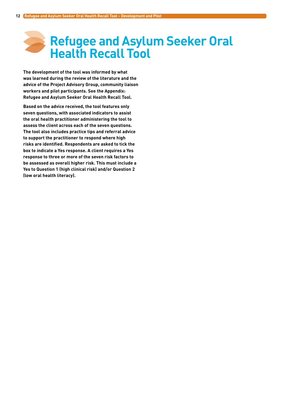# <span id="page-13-0"></span>**Refugee and Asylum Seeker Oral Health Recall Tool**

**The development of the tool was informed by what was learned during the review of the literature and the advice of the Project Advisory Group, community liaison workers and pilot participants. See the Appendix: Refugee and Asylum Seeker Oral Health Recall Tool.**

**Based on the advice received, the tool features only seven questions, with associated indicators to assist the oral health practitioner administering the tool to assess the client across each of the seven questions. The tool also includes practice tips and referral advice to support the practitioner to respond where high risks are identified. Respondents are asked to tick the box to indicate a Yes response. A client requires a Yes response to three or more of the seven risk factors to be assessed as overall higher risk. This must include a Yes to Question 1 (high clinical risk) and/or Question 2 (low oral health literacy).**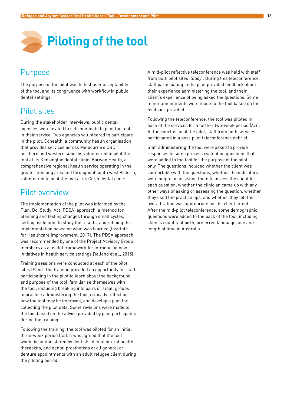<span id="page-14-0"></span>

# **Purpose**

The purpose of the pilot was to test user acceptability of the tool and its congruence with workflow in public dental settings.

# Pilot sites

During the stakeholder interviews, public dental agencies were invited to self-nominate to pilot the tool in their service. Two agencies volunteered to participate in the pilot. Cohealth, a community health organisation that provides services across Melbourne's CBD, northern and western suburbs volunteered to pilot the tool at its Kensington dental clinic. Barwon Health, a comprehensive regional health service operating in the greater Geelong area and throughout south west Victoria, volunteered to pilot the tool at its Corio dental clinic.

#### Pilot overview

The implementation of the pilot was informed by the Plan, Do, Study, Act (PDSA) approach, a method for planning and testing changes through small cycles, setting aside time to study the results, and refining the implementation based on what was learned (Institute for Healthcare Improvement, 2017). The PDSA approach was recommended by one of the Project Advisory Group members as a useful framework for introducing new initiatives in health service settings (Yelland et al., 2015).

Training sessions were conducted at each of the pilot sites (*Plan*). The training provided an opportunity for staff participating in the pilot to learn about the background and purpose of the tool, familiarise themselves with the tool, including breaking into pairs or small groups to practise administering the tool, critically reflect on how the tool may be improved, and develop a plan for collecting the pilot data. Some revisions were made to the tool based on the advice provided by pilot participants during the training.

Following the training, the tool was piloted for an initial three-week period (*Do*). It was agreed that the tool would be administered by dentists, dental or oral health therapists, and dental prosthetists at all general or denture appointments with an adult refugee client during the piloting period.

A mid-pilot reflective teleconference was held with staff from both pilot sites (*Study*). During this teleconference, staff participating in the pilot provided feedback about their experience administering the tool, and their client's experience of being asked the questions. Some minor amendments were made to the tool based on the feedback provided.

Following the teleconference, the tool was piloted in each of the services for a further two-week period (*Act*). At the conclusion of the pilot, staff from both services participated in a post-pilot teleconference debrief.

Staff administering the tool were asked to provide responses to some process evaluation questions that were added to the tool for the purpose of the pilot only. The questions included whether the client was comfortable with the questions, whether the indicators were helpful in assisting them to assess the client for each question, whether the clinician came up with any other ways of asking or assessing the question, whether they used the practice tips, and whether they felt the overall rating was appropriate for the client or not. After the mid-pilot teleconference, some demographic questions were added to the back of the tool, including client's country of birth, preferred language, age and length of time in Australia.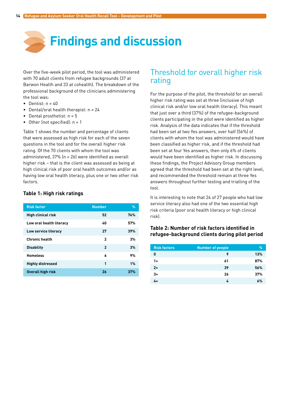<span id="page-15-0"></span>

Over the five-week pilot period, the tool was administered with 70 adult clients from refugee backgrounds (37 at Barwon Health and 33 at cohealth). The breakdown of the professional background of the clinicians administering the tool was:

- Dentist:  $n = 40$
- Dental/oral health therapist:  $n = 24$
- Dental prosthetist:  $n = 5$
- Other (not specified):  $n = 1$

Table 1 shows the number and percentage of clients that were assessed as high risk for each of the seven questions in the tool and for the overall higher risk rating. Of the 70 clients with whom the tool was administered, 37% (n = 26) were identified as overall higher risk – that is the client was assessed as being at high clinical risk of poor oral health outcomes and/or as having low oral health literacy, plus one or two other risk factors.

#### **Table 1: High risk ratings**

| <b>Risk factor</b>        | <b>Number</b>  | $\%$ |
|---------------------------|----------------|------|
| <b>High clinical risk</b> | 52             | 74%  |
| Low oral health literacy  | 40             | 57%  |
| Low service literacy      | 27             | 39%  |
| <b>Chronic health</b>     | $\mathbf{2}$   | 3%   |
| <b>Disability</b>         | $\overline{2}$ | 3%   |
| <b>Homeless</b>           | 6              | 9%   |
| <b>Highly distressed</b>  | 1              | 1%   |
| <b>Overall high risk</b>  | 26             | 37%  |

# Threshold for overall higher risk rating

For the purpose of the pilot, the threshold for an overall higher risk rating was set at three (inclusive of high clinical risk and/or low oral health literacy). This meant that just over a third (37%) of the refugee-background clients participating in the pilot were identified as higher risk. Analysis of the data indicates that if the threshold had been set at two Yes answers, over half (56%) of clients with whom the tool was administered would have been classified as higher risk, and if the threshold had been set at four Yes answers, then only 6% of clients would have been identified as higher risk. In discussing these findings, the Project Advisory Group members agreed that the threshold had been set at the right level, and recommended the threshold remain at three Yes answers throughout further testing and trialling of the tool.

It is interesting to note that 24 of 27 people who had low service literacy also had one of the two essential high risk criteria (poor oral health literacy or high clinical risk).

#### **Table 2: Number of risk factors identified in refugee-background clients during pilot period**

| <b>Risk factors</b> | <b>Number of people</b> | $\%$ |
|---------------------|-------------------------|------|
| 0                   | 9                       | 13%  |
| $1+$                | 61                      | 87%  |
| $2+$                | 39                      | 56%  |
| $3+$                | 26                      | 37%  |
| 4+                  | 4                       | 6%   |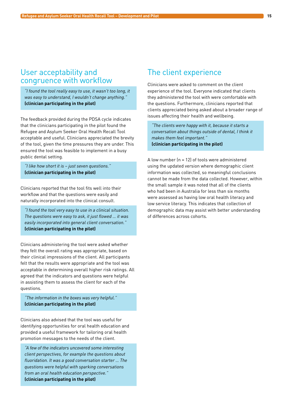# <span id="page-16-0"></span>User acceptability and congruence with workflow

*"I found the tool really easy to use, it wasn't too long, it was easy to understand, I wouldn't change anything."*  **(clinician participating in the pilot)**

The feedback provided during the PDSA cycle indicates that the clinicians participating in the pilot found the Refugee and Asylum Seeker Oral Health Recall Tool acceptable and useful. Clinicians appreciated the brevity of the tool, given the time pressures they are under. This ensured the tool was feasible to implement in a busy public dental setting.

*"I like how short it is – just seven questions."*  **(clinician participating in the pilot)**

Clinicians reported that the tool fits well into their workflow and that the questions were easily and naturally incorporated into the clinical consult.

*"I found the tool very easy to use in a clinical situation. The questions were easy to ask, it just flowed … it was easily incorporated into general client conversation."* **(clinician participating in the pilot)**

Clinicians administering the tool were asked whether they felt the overall rating was appropriate, based on their clinical impressions of the client. All participants felt that the results were appropriate and the tool was acceptable in determining overall higher risk ratings. All agreed that the indicators and questions were helpful in assisting them to assess the client for each of the questions.

*"The information in the boxes was very helpful."*  **(clinician participating in the pilot)**

Clinicians also advised that the tool was useful for identifying opportunities for oral health education and provided a useful framework for tailoring oral health promotion messages to the needs of the client.

*"A few of the indicators uncovered some interesting client perspectives, for example the questions about fluoridation. It was a good conversation starter … The questions were helpful with sparking conversations from an oral health education perspective."*  **(clinician participating in the pilot)**

# The client experience

Clinicians were asked to comment on the client experience of the tool. Everyone indicated that clients they administered the tool with were comfortable with the questions. Furthermore, clinicians reported that clients appreciated being asked about a broader range of issues affecting their health and wellbeing.

*"The clients were happy with it, because it starts a conversation about things outside of dental, I think it makes them feel important."*  **(clinician participating in the pilot)**

A low number (n = 12) of tools were administered using the updated version where demographic client information was collected, so meaningful conclusions cannot be made from the data collected. However, within the small sample it was noted that all of the clients who had been in Australia for less than six months were assessed as having low oral health literacy and low service literacy. This indicates that collection of demographic data may assist with better understanding of differences across cohorts.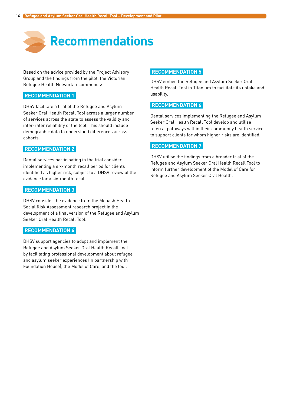<span id="page-17-0"></span>

Based on the advice provided by the Project Advisory Group and the findings from the pilot, the Victorian Refugee Health Network recommends:

#### **RECOMMENDATION 1**

DHSV facilitate a trial of the Refugee and Asylum Seeker Oral Health Recall Tool across a larger number of services across the state to assess the validity and inter-rater reliability of the tool. This should include demographic data to understand differences across cohorts.

#### **RECOMMENDATION 2**

Dental services participating in the trial consider implementing a six-month recall period for clients identified as higher risk, subject to a DHSV review of the evidence for a six-month recall.

#### **RECOMMENDATION 3**

DHSV consider the evidence from the Monash Health Social Risk Assessment research project in the development of a final version of the Refugee and Asylum Seeker Oral Health Recall Tool.

#### **RECOMMENDATION 4**

DHSV support agencies to adopt and implement the Refugee and Asylum Seeker Oral Health Recall Tool by facilitating professional development about refugee and asylum seeker experiences (in partnership with Foundation House), the Model of Care, and the tool.

#### **RECOMMENDATION 5**

DHSV embed the Refugee and Asylum Seeker Oral Health Recall Tool in Titanium to facilitate its uptake and usability.

#### **RECOMMENDATION 6**

Dental services implementing the Refugee and Asylum Seeker Oral Health Recall Tool develop and utilise referral pathways within their community health service to support clients for whom higher risks are identified.

#### **RECOMMENDATION 7**

DHSV utilise the findings from a broader trial of the Refugee and Asylum Seeker Oral Health Recall Tool to inform further development of the Model of Care for Refugee and Asylum Seeker Oral Health.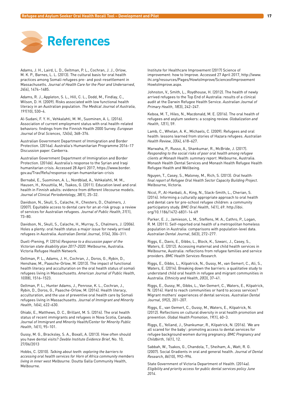<span id="page-18-0"></span>

Adams, J. H., Laird, L. D., Geltman, P. L., Cochran, J. J., Orlow, M. K. P., Barnes, L. L. (2013). The cultural basis for oral health practices among Somali refugees pre- and post-resettlement in Massachusetts. *Journal of Health Care for the Poor and Underserved*, *24*(4), 1474–1485.

Adams, R. J., Appleton, S. L., Hill, C. L., Dodd, M., Findlay, C., Wilson, D. H. (2009). Risks associated with low functional health literacy in an Australian population. *The Medical Journal of Australia*, *191*(10), 530–4.

Al-Sudani, F. Y. H., Vehkalahti, M. M., Suominen, A. L. (2016). Association of current employment status with oral health-related behaviors: findings from the Finnish Health 2000 Survey. *European Journal of Oral Sciences*, *124*(4), 368–376.

Australian Government Department of Immigration and Border Protection. (2016a). Australia's Humanitarian Programme 2016–17 Discussion paper. Canberra.

Australian Government Department of Immigration and Border Protection. (2016b). Australia's response to the Syrian and Iraqi humanitarian crisis. Accessed 28 April 2017, https://www.border. gov.au/Trav/Refu/response-syrian-humanitarian-crisis

Bernabé, E., Suominen, A. L., Nordblad, A., Vehkalahti, M. M., Hausen, H., Knuuttila, M., Tsakos, G. (2011). Education level and oral health in Finnish adults: evidence from different lifecourse models. *Journal of Clinical Periodontology*, *38*(1), 25–32.

Davidson, N., Skull, S., Calache, H., Chesters, D., Chalmers, J. (2007). Equitable access to dental care for an at-risk group: a review of services for Australian refugees. *Journal of Public Health*, *31*(1), 73–80.

Davidson, N., Skull, S., Calache, H., Murray, S., Chalmers, J. (2006). Holes a plenty: oral health status a major issue for newly arrived refugees in Australia. *Australian Dental Journal*, *51*(4), 306–311.

Duell-Piening, P. (2016) *Response to a discussion paper of the Victorian state disability plan 2017–2020*. Melbourne, Australia. Victoria Refugee Health Network.

Geltman, P. L., Adams, J. H., Cochran, J., Doros, G., Rybin, D., Henshaw, M., Paasche-Orlow, M. (2013). The impact of functional health literacy and acculturation on the oral health status of somali refugees living in Massachusetts. *American Journal of Public Health*, *103*(8), 1516–1523.

Geltman, P. L., Hunter Adams, J., Penrose, K. L., Cochran, J., Rybin, D., Doros, G., Paasche-Orlow, M. (2014). Health literacy, acculturation, and the use of preventive oral health care by Somali refugees living in Massachusetts. *Journal of Immigrant and Minority Health*, *16*(4), 622–630.

Ghiabi, E., Matthews, D. C., Brillant, M. S. (2014). The oral health status of recent immigrants and refugees in Nova Scotia, Canada. *Journal of Immigrant and Minority Health/Center for Minority Public Health*, *16*(1), 95–101.

Gussy, M. G., Bracksley, S. A., Boxall, A. (2013). How often should you have dental visits? *Deeble Institute Evidence Brief*, No. 10, 27/06/2013

Hobbs, C. (2010). *Talking about teeth: exploring the barriers to accessing oral health services for Horn of Africa community members living in inner west Melbourne.* Doutta Galla Community Health, Melbourne.

Institute for Healthcare Improvement (2017) Science of improvement: how to Improve. Accessed 27 April 2017, [http://www.](http://www.ihi.org/resources/Pages/HowtoImprove/ScienceofImprovement) [ihi.org/resources/Pages/HowtoImprove/ScienceofImprovement](http://www.ihi.org/resources/Pages/HowtoImprove/ScienceofImprovement) HowtoImprove.aspx.

Johnston, V., Smith, L., Roydhouse, H. (2012). The health of newly arrived refugees to the Top End of Australia: results of a clinical audit at the Darwin Refugee Health Service. *Australian Journal of Primary Health*, *18*(3), 242–247.

Keboa, M. T., Hiles, N., Macdonald, M. E. (2016). The oral health of refugees and asylum seekers: a scoping review. *Globalization and Health*, *12*(1), 59.

Lamb, C., Whelan, A. K., Michaels, C. (2009). Refugees and oral health: lessons learned from stories of Hazara refugees. *Australian Health Review*, *33*(4), 618–627.

Marwaha, P., Russo, A., Shankumar, R., McBride, J. (2017). *Responding to the social risks of poor oral health among refugee clients at Monash Health: summary report*. Melbourne, Australia. Monash Health Dental Services and Monash Health Refugee Health Refugee Health and Wellbeing.

Nguyen, T., Casey, S., Maloney, M., Rich, S. (2013). *Oral health: final report of Refugee Oral Health Sector Capacity Building Project*. Melbourne, Victoria.

Nicol, P., Al-Hanbali, A., King, N., Slack-Smith, L., Cherian, S. (2014). Informing a culturally appropriate approach to oral health and dental care for pre-school refugee children: a community participatory study. *BMC Oral Health*, *14*(1), 69. http://doi. org/10.1186/1472-6831-14-69

Parker, E. J., Jamieson, L. M., Steffens, M. A., Cathro, P., Logan, R. M. (2011). Self-reported oral health of a metropolitan homeless population in Australia: comparisons with population-level data. *Australian Dental Journal*, *56*(3), 272–277.

Riggs, E., Davis, E., Gibbs, L., Block, K., Szwarc, J., Casey, S., Waters, E. (2012). Accessing maternal and child health services in Melbourne, Australia: reflections from refugee families and service providers. *BMC Health Services Research*.

Riggs, E., Gibbs, L., Kilpatrick, N., Gussy, M., van Gemert, C., Ali, S., Waters, E. (2014). Breaking down the barriers: a qualitative study to understand child oral health in refugee and migrant communities in Australia. *Ethnicity and Health*, *20*(3), 37–41.

Riggs, E., Gussy, M., Gibbs, L., Van Gemert, C., Waters, E., Kilpatrick, N. (2014). Hard to reach communities or hard to access services? Migrant mothers' experiences of dental services. *Australian Dental Journal*, *59*(2), 201–207.

Riggs, E., van Gemert, C., Gussy, M., Waters, E., Kilpatrick, N. (2012). Reflections on cultural diversity in oral health promotion and prevention. *Global Health Promotion*, *19*(1), 60–3.

Riggs, E., Yelland, J., Shankumar, R., Kilpatrick, N. (2016). 'We are all scared for the baby': promoting access to dental services for refugee background women during pregnancy. *BMC Pregnancy and Childbirth*, *16*(1), 12.

Sabbah, W., Tsakos, G., Chandola, T., Sheiham, A., Watt, R. G. (2007). Social Gradients in oral and general health. *Journal of Dental Research*, *86*(10), 992–996.

State Government of Victoria Department of Health. (2014a). *Eligibility and priority access for public dental services policy June 2014*.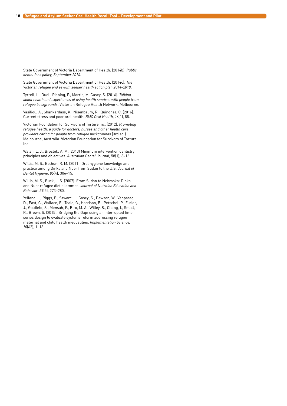State Government of Victoria Department of Health. (2014b). *Public dental fees policy, September 2014*.

State Government of Victoria Department of Health. (2014c). *The Victorian refugee and asylum seeker health action plan 2014–2018*.

Tyrrell, L., Duell-Piening, P., Morris, M. Casey, S. (2016). *Talking about health and experiences of using health services with people from refugee backgrounds*. Victorian Refugee Health Network, Melbourne.

Vasiliou, A., Shankardass, K., Nisenbaum, R., Quiñonez, C. (2016). Current stress and poor oral health. *BMC Oral Health*, *16*(1), 88.

Victorian Foundation for Survivors of Torture Inc. (2012). *Promoting refugee health: a guide for doctors, nurses and other health care providers caring for people from refugee backgrounds* (3rd ed.). Melbourne, Australia. Victorian Foundation for Survivors of Torture Inc.

Walsh, L. J., Brostek, A. M. (2013) Minimum intervention dentistry principles and objectives. *Australian Dental Journal*, 58(1), 3–16.

Willis, M. S., Bothun, R. M. (2011). Oral hygiene knowledge and practice among Dinka and Nuer from Sudan to the U.S. *Journal of Dental Hygiene*, *85*(4), 306–15.

Willis, M. S., Buck, J. S. (2007). From Sudan to Nebraska: Dinka and Nuer refugee diet dilemmas. *Journal of Nutrition Education and Behavior*, *39*(5), 273–280.

Yelland, J., Riggs, E., Szwarc, J., Casey, S., Dawson, W., Vanpraag, D., East, C., Wallace, E., Teale, G., Harrison, B., Petschel, P., Furler, J., Goldfeld, S., Mensah, F., Biro, M. A., Willey, S., Cheng, I., Small, R., Brown, S. (2015). Bridging the Gap: using an interrupted time series design to evaluate systems reform addressing refugee maternal and child health inequalities. *Implementation Science, 10*(62), 1–13.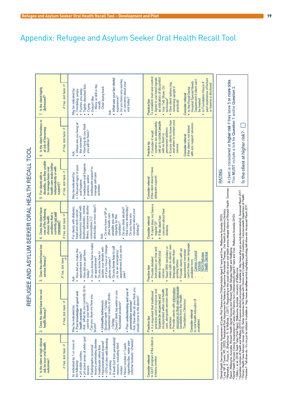<span id="page-20-0"></span>

|                                                                   | Is the client highly<br>distressed?<br>7.                                                                                                           | If Yes, tick here $\rightarrow$ | • What was your last dental<br>• Do you have any worries<br>or concerns about your<br>Tightly clenched fists<br>- Mirror or drill in the<br>- Chair laying back<br>May be indicated by:<br>Pushes you away<br>• Trembling, jumpy<br>experience?<br>Doesn't like:<br>visit today?<br>mouth<br>Crying<br>Ask                                                                                                                                                                                                     | To establish trust and control:<br>as indicators of discomfort<br>. Agree to use hand signals<br>past experience of torture<br>Department if client can't<br>Hospital Special Needs<br>to Foundation House if<br>· Give client options (eg.<br>or trauma is disclosed<br>• Use Tell, Show, Do'<br>remaining upright if<br>• to the Royal Dental<br>Consider referral<br>technique <sup>8</sup><br>be treated<br>Practice tips<br>practical) |                                                                                                                                                                                                                                                                                                                                                                                                                                                                               |  |
|-------------------------------------------------------------------|-----------------------------------------------------------------------------------------------------------------------------------------------------|---------------------------------|----------------------------------------------------------------------------------------------------------------------------------------------------------------------------------------------------------------------------------------------------------------------------------------------------------------------------------------------------------------------------------------------------------------------------------------------------------------------------------------------------------------|---------------------------------------------------------------------------------------------------------------------------------------------------------------------------------------------------------------------------------------------------------------------------------------------------------------------------------------------------------------------------------------------------------------------------------------------|-------------------------------------------------------------------------------------------------------------------------------------------------------------------------------------------------------------------------------------------------------------------------------------------------------------------------------------------------------------------------------------------------------------------------------------------------------------------------------|--|
|                                                                   | Is the client homeless or<br>at risk of becoming<br>homeless?<br>6                                                                                  | If Yes, tick here $\rightarrow$ | • Where are you living at<br>How long do you think<br>you will be there?<br>the moment?<br>Ask<br>ö                                                                                                                                                                                                                                                                                                                                                                                                            | and when to contact your<br>Ensure clients know how<br>set up to contact people<br>systems are adequately<br>with any support services<br>if the client is not linked<br>permanent address<br>Consider if recall<br>with no fixed or<br>Consider referral<br>Practice tip<br>service<br>٠<br>٠                                                                                                                                              | A client is considered at higher risk if they have 3 or more ticks.<br>This MUST include a tick for Question 1 and/or Question 2.<br>Is the client at higher risk?                                                                                                                                                                                                                                                                                                            |  |
|                                                                   | disability, are they unable<br>health care tasks (either<br>independently or with<br>to manage basic oral<br>For clients with a<br>support)?<br>in, | If Yes, tick here $\rightarrow$ | Inadequate oral hygiene<br>· Observed signs of poor<br>inadequate support to<br>May be indicated by<br>manage self-care<br>practice, and/or<br>oral hygiene<br>activities<br>$\bullet$                                                                                                                                                                                                                                                                                                                         | if the client doesn't have<br>adequate support<br>Consider referral                                                                                                                                                                                                                                                                                                                                                                         | RATING                                                                                                                                                                                                                                                                                                                                                                                                                                                                        |  |
| ערבו בעמדה עומד שהייתה או הייתה הוא היה היה היה היה המה האחר המחו | Does the client have<br>one of the following<br>conditions that is<br>currently not well<br>chronic health<br>managed?<br>4                         | If Yes, tick here $\rightarrow$ | drinks/day on most days <sup>9</sup> )<br>How many drinks/day?<br>illness, excessive alcohol<br>osteoporosis treated with<br>bisphosphonates, mental<br>For clients with diabetes,<br>Do you drink alcohol?<br>. Do you have a GP or<br>concerns about your<br>head and neck cancer,<br>other health care<br>Do you have any<br>provider you see<br>regularly for this<br>consumption (>2<br>condition? <sup>7</sup><br>drinking?<br>Ask:<br>٠                                                                 | • If client does not have a<br>concerns about their<br>If the client has<br>Consider referral<br>regular GP<br>drinking<br>٠                                                                                                                                                                                                                                                                                                                | 'Dental Health Services Victoria, Assessment of Caries Risk Factors from Children/Adults Aged 6 Years and Over. Melbourne Australia, DHSV.<br><sup>2</sup> Lang, NP. & Toneti. MS. (2003). Peinodontal Risk Assessment for Patients in Sup<br>§ Gàbs, L. et al. (2014) Teeth Tales Final Report. Melbourne. Australia. University of Melbourne<br>Phistralian Institute of Heisth and Welfa?(2017) Excessive abothol consumption. Available at minimum and investigations Com |  |
|                                                                   | Does the client have low<br>service literacy?<br>S,                                                                                                 | If Yes, tick here               | Do you know how to make<br>us if you move or change<br>appointment if you are in<br>Do you know how to call<br>update your details with<br>. How did you make the<br>How did you get here<br>us for an 'emergency<br>Do you know how to<br>appointment today?<br>an appointment?<br>phone number?<br>today?<br>pain?<br>Ask:<br>٠<br>ò                                                                                                                                                                         | card in their own language<br>make calls in clients' own<br>Send SMS reminders or<br>instructions on how and<br>Provide clients with an<br>appointment reminder<br>language, rather than<br>when to contact your<br><b>Cancer Council</b><br><b>Health Service</b><br><u>Victoria</u><br>NSW Refugee<br>· Provide detailed<br>available from:<br>posting letters<br>Practice tips<br>service<br>ö                                           |                                                                                                                                                                                                                                                                                                                                                                                                                                                                               |  |
|                                                                   | Does the client have low oral<br>health literacy?<br>$\mathbf{a}$                                                                                   | If Yes, tick here $\rightarrow$ | - Ask: What do you currently do to<br>preventative services <sup>5</sup><br>- Ask: How often do you think you<br>· Poor understanding and use of<br>>3x/day<br>- Doesn't drink tap water or use<br>· Poor knowledge of good oral<br>- Sweetened snacks or drinks<br>Can you show me how you<br>should come to the dentist?<br>• Unhealthy behaviours<br>- Brushes teeth <1x/day<br>fluoridated products <sup>4</sup><br>care for your teeth? <sup>3</sup><br>May be indicated by<br>health practices<br>brush? | resources in their own language<br>· Provide clients with information<br>incorporated within oral health<br>care, alongside western dental<br>practices used to improve oral<br>• It is important that traditional<br>hygiene be respected and<br>(available from the Health<br>to oral health educator (if<br>Translations Directory)<br>Consider referral<br>Practice tips<br>practices<br>available)                                     |                                                                                                                                                                                                                                                                                                                                                                                                                                                                               |  |
|                                                                   | Is the client at high clinical<br>risk for poor oral health<br>outcomes?<br>÷,                                                                      | If Yes, tick here $\rightarrow$ | • 24 active areas of white spot<br>8 teeth lost from periodontal<br>· >25% of sites with bleeding<br>(shisha/ hookah) >2/week) <sup>2</sup><br>lesions penetrating dentine<br>As indicated by 1 or more of<br>cigarettes/day, water pipe<br>• Hypomineralised ename!<br>reasons, excluding third<br>• Heavy smoker (>1 pack<br>Radiographic proximal<br>· Inadequate saliva flow<br>· 24 visible cavries<br>on probing<br>the following<br>lesions<br>molars<br>۰                                              | to QUIT program if the client is<br>Consider referral<br>a heavy smoker                                                                                                                                                                                                                                                                                                                                                                     |                                                                                                                                                                                                                                                                                                                                                                                                                                                                               |  |

# REFLIGEE AND ASYLUM SEEKER ORAL HEALTH RECALL TOOL